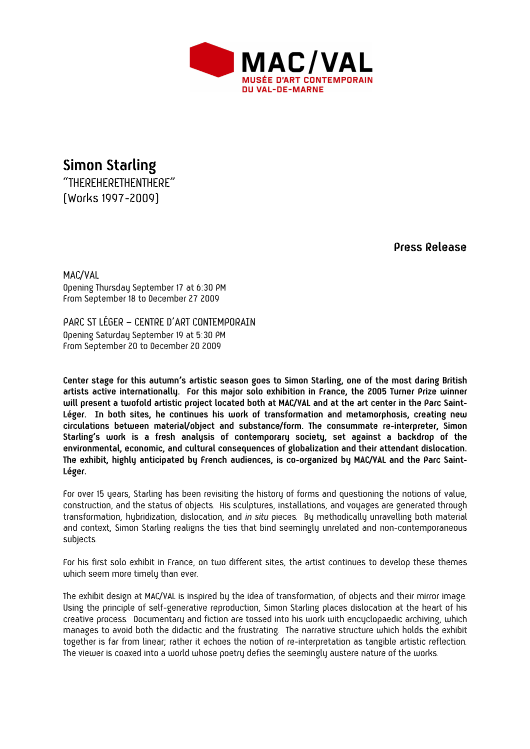

**Simon Starling**  "THEREHERETHENTHERE" (Works 1997-2009)

 **Press Release** 

MAC/VAL Opening Thursday September 17 at 6:30 PM From September 18 to December 27 2009

PARC ST LÉGER – CENTRE D'ART CONTEMPORAIN Opening Saturday September 19 at 5:30 PM From September 20 to December 20 2009

**Center stage for this autumn's artistic season goes to Simon Starling, one of the most daring British artists active internationally. For this major solo exhibition in France, the 2005 Turner Prize winner will present a twofold artistic project located both at MAC/VAL and at the art center in the Parc Saint-Léger. In both sites, he continues his work of transformation and metamorphosis, creating new circulations between material/object and substance/form. The consummate re-interpreter, Simon Starling's work is a fresh analysis of contemporary society, set against a backdrop of the environmental, economic, and cultural consequences of globalization and their attendant dislocation. The exhibit, highly anticipated by French audiences, is co-organized by MAC/VAL and the Parc Saint-Léger.** 

For over 15 years, Starling has been revisiting the history of forms and questioning the notions of value, construction, and the status of objects. His sculptures, installations, and voyages are generated through transformation, hybridization, dislocation, and *in situ* pieces. By methodically unravelling both material and context, Simon Starling realigns the ties that bind seemingly unrelated and non-contemporaneous subjects.

For his first solo exhibit in France, on two different sites, the artist continues to develop these themes which seem more timely than ever.

The exhibit design at MAC/VAL is inspired by the idea of transformation, of objects and their mirror image. Using the principle of self-generative reproduction, Simon Starling places dislocation at the heart of his creative process. Documentary and fiction are tossed into his work with encyclopaedic archiving, which manages to avoid both the didactic and the frustrating. The narrative structure which holds the exhibit together is far from linear; rather it echoes the notion of re-interpretation as tangible artistic reflection. The viewer is coaxed into a world whose poetry defies the seemingly austere nature of the works.